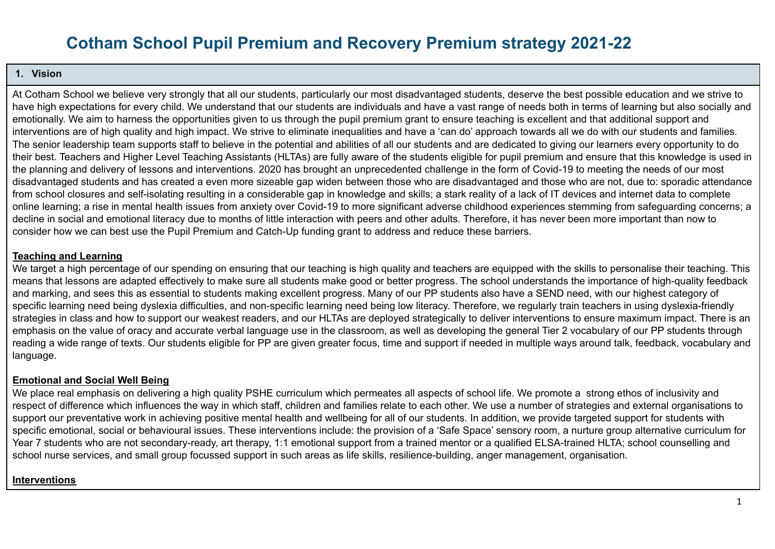# **Cotham School Pupil Premium and Recovery Premium strategy 2021-22**

#### **1. Vision**

At Cotham School we believe very strongly that all our students, particularly our most disadvantaged students, deserve the best possible education and we strive to have high expectations for every child. We understand that our students are individuals and have a vast range of needs both in terms of learning but also socially and emotionally. We aim to harness the opportunities given to us through the pupil premium grant to ensure teaching is excellent and that additional support and interventions are of high quality and high impact. We strive to eliminate inequalities and have a 'can do' approach towards all we do with our students and families. The senior leadership team supports staff to believe in the potential and abilities of all our students and are dedicated to giving our learners every opportunity to do their best. Teachers and Higher Level Teaching Assistants (HLTAs) are fully aware of the students eligible for pupil premium and ensure that this knowledge is used in the planning and delivery of lessons and interventions. 2020 has brought an unprecedented challenge in the form of Covid-19 to meeting the needs of our most disadvantaged students and has created a even more sizeable gap widen between those who are disadvantaged and those who are not, due to: sporadic attendance from school closures and self-isolating resulting in a considerable gap in knowledge and skills; a stark reality of a lack of IT devices and internet data to complete online learning; a rise in mental health issues from anxiety over Covid-19 to more significant adverse childhood experiences stemming from safeguarding concerns; a decline in social and emotional literacy due to months of little interaction with peers and other adults. Therefore, it has never been more important than now to consider how we can best use the Pupil Premium and Catch-Up funding grant to address and reduce these barriers.

#### **Teaching and Learning**

We target a high percentage of our spending on ensuring that our teaching is high quality and teachers are equipped with the skills to personalise their teaching. This means that lessons are adapted effectively to make sure all students make good or better progress. The school understands the importance of high-quality feedback and marking, and sees this as essential to students making excellent progress. Many of our PP students also have a SEND need, with our highest category of specific learning need being dyslexia difficulties, and non-specific learning need being low literacy. Therefore, we regularly train teachers in using dyslexia-friendly strategies in class and how to support our weakest readers, and our HLTAs are deployed strategically to deliver interventions to ensure maximum impact. There is an emphasis on the value of oracy and accurate verbal language use in the classroom, as well as developing the general Tier 2 vocabulary of our PP students through reading a wide range of texts. Our students eligible for PP are given greater focus, time and support if needed in multiple ways around talk, feedback, vocabulary and language.

#### **Emotional and Social Well Being**

We place real emphasis on delivering a high quality PSHE curriculum which permeates all aspects of school life. We promote a strong ethos of inclusivity and respect of difference which influences the way in which staff, children and families relate to each other. We use a number of strategies and external organisations to support our preventative work in achieving positive mental health and wellbeing for all of our students. In addition, we provide targeted support for students with specific emotional, social or behavioural issues. These interventions include: the provision of a 'Safe Space' sensory room, a nurture group alternative curriculum for Year 7 students who are not secondary-ready, art therapy, 1:1 emotional support from a trained mentor or a qualified ELSA-trained HLTA; school counselling and school nurse services, and small group focussed support in such areas as life skills, resilience-building, anger management, organisation.

#### **Interventions**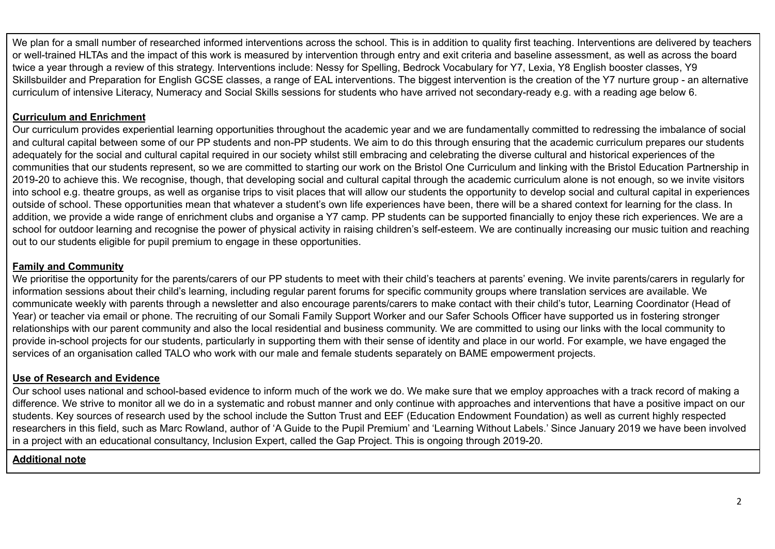We plan for a small number of researched informed interventions across the school. This is in addition to quality first teaching. Interventions are delivered by teachers or well-trained HLTAs and the impact of this work is measured by intervention through entry and exit criteria and baseline assessment, as well as across the board twice a year through a review of this strategy. Interventions include: Nessy for Spelling, Bedrock Vocabulary for Y7, Lexia, Y8 English booster classes, Y9 Skillsbuilder and Preparation for English GCSE classes, a range of EAL interventions. The biggest intervention is the creation of the Y7 nurture group - an alternative curriculum of intensive Literacy, Numeracy and Social Skills sessions for students who have arrived not secondary-ready e.g. with a reading age below 6.

#### **Curriculum and Enrichment**

Our curriculum provides experiential learning opportunities throughout the academic year and we are fundamentally committed to redressing the imbalance of social and cultural capital between some of our PP students and non-PP students. We aim to do this through ensuring that the academic curriculum prepares our students adequately for the social and cultural capital required in our society whilst still embracing and celebrating the diverse cultural and historical experiences of the communities that our students represent, so we are committed to starting our work on the Bristol One Curriculum and linking with the Bristol Education Partnership in 2019-20 to achieve this. We recognise, though, that developing social and cultural capital through the academic curriculum alone is not enough, so we invite visitors into school e.g. theatre groups, as well as organise trips to visit places that will allow our students the opportunity to develop social and cultural capital in experiences outside of school. These opportunities mean that whatever a student's own life experiences have been, there will be a shared context for learning for the class. In addition, we provide a wide range of enrichment clubs and organise a Y7 camp. PP students can be supported financially to enjoy these rich experiences. We are a school for outdoor learning and recognise the power of physical activity in raising children's self-esteem. We are continually increasing our music tuition and reaching out to our students eligible for pupil premium to engage in these opportunities.

#### **Family and Community**

We prioritise the opportunity for the parents/carers of our PP students to meet with their child's teachers at parents' evening. We invite parents/carers in regularly for information sessions about their child's learning, including regular parent forums for specific community groups where translation services are available. We communicate weekly with parents through a newsletter and also encourage parents/carers to make contact with their child's tutor, Learning Coordinator (Head of Year) or teacher via email or phone. The recruiting of our Somali Family Support Worker and our Safer Schools Officer have supported us in fostering stronger relationships with our parent community and also the local residential and business community. We are committed to using our links with the local community to provide in-school projects for our students, particularly in supporting them with their sense of identity and place in our world. For example, we have engaged the services of an organisation called TALO who work with our male and female students separately on BAME empowerment projects.

#### **Use of Research and Evidence**

Our school uses national and school-based evidence to inform much of the work we do. We make sure that we employ approaches with a track record of making a difference. We strive to monitor all we do in a systematic and robust manner and only continue with approaches and interventions that have a positive impact on our students. Key sources of research used by the school include the Sutton Trust and EEF (Education Endowment Foundation) as well as current highly respected researchers in this field, such as Marc Rowland, author of 'A Guide to the Pupil Premium' and 'Learning Without Labels.' Since January 2019 we have been involved in a project with an educational consultancy, Inclusion Expert, called the Gap Project. This is ongoing through 2019-20.

#### **Additional note**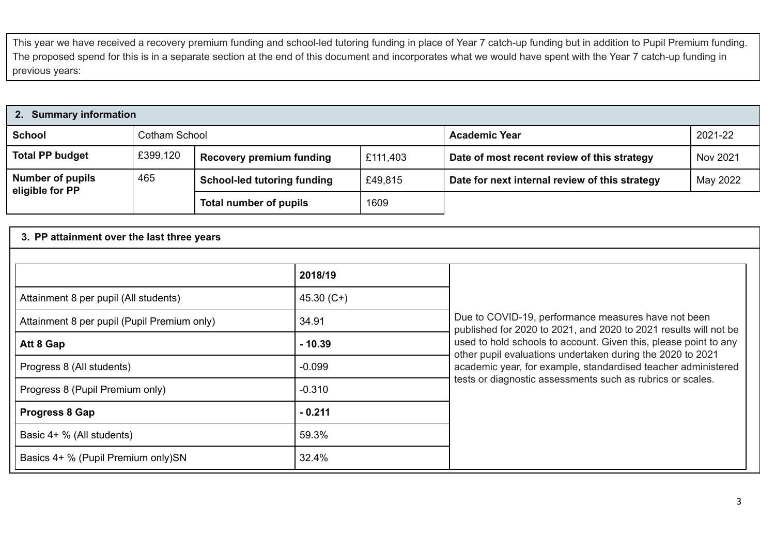This year we have received a recovery premium funding and school-led tutoring funding in place of Year 7 catch-up funding but in addition to Pupil Premium funding. The proposed spend for this is in a separate section at the end of this document and incorporates what we would have spent with the Year 7 catch-up funding in previous years:

| 2. Summary information                     |               |                                    |                      |                                                         |          |  |  |  |  |
|--------------------------------------------|---------------|------------------------------------|----------------------|---------------------------------------------------------|----------|--|--|--|--|
| <b>School</b>                              | Cotham School |                                    | <b>Academic Year</b> | 2021-22                                                 |          |  |  |  |  |
| <b>Total PP budget</b>                     | £399,120      | <b>Recovery premium funding</b>    | £111,403             | Nov 2021<br>Date of most recent review of this strategy |          |  |  |  |  |
| <b>Number of pupils</b><br>eligible for PP | 465           | <b>School-led tutoring funding</b> | £49,815              | Date for next internal review of this strategy          | May 2022 |  |  |  |  |
|                                            |               | Total number of pupils             | 1609                 |                                                         |          |  |  |  |  |

#### **3. PP attainment over the last three years**

|                                             | 2018/19     |                                                                                                                                |
|---------------------------------------------|-------------|--------------------------------------------------------------------------------------------------------------------------------|
| Attainment 8 per pupil (All students)       | $45.30(C+)$ |                                                                                                                                |
| Attainment 8 per pupil (Pupil Premium only) | 34.91       | Due to COVID-19, performance measures have not been<br>published for 2020 to 2021, and 2020 to 2021 results will not be        |
| Att 8 Gap                                   | $-10.39$    | used to hold schools to account. Given this, please point to any<br>other pupil evaluations undertaken during the 2020 to 2021 |
| Progress 8 (All students)                   | $-0.099$    | academic year, for example, standardised teacher administered                                                                  |
| Progress 8 (Pupil Premium only)             | $-0.310$    | tests or diagnostic assessments such as rubrics or scales.                                                                     |
| <b>Progress 8 Gap</b>                       | $-0.211$    |                                                                                                                                |
| Basic 4+ % (All students)                   | 59.3%       |                                                                                                                                |
| Basics 4+ % (Pupil Premium only)SN          | 32.4%       |                                                                                                                                |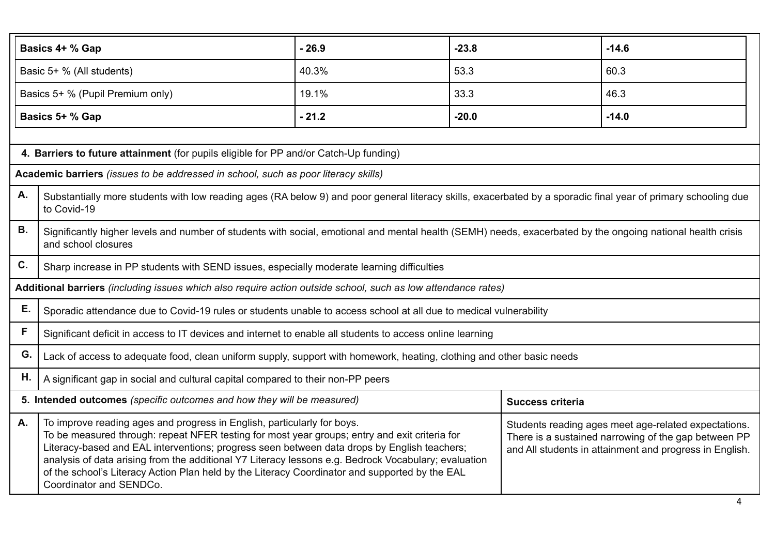|                                                                                                                                                                                                                                                                                                                                                                                                                                                                                                                                                                                                                                                                                               | $-26.9$<br>$-23.8$<br>$-14.6$<br>Basics 4+ % Gap                                                                                                                                   |         |         |                         |         |  |  |
|-----------------------------------------------------------------------------------------------------------------------------------------------------------------------------------------------------------------------------------------------------------------------------------------------------------------------------------------------------------------------------------------------------------------------------------------------------------------------------------------------------------------------------------------------------------------------------------------------------------------------------------------------------------------------------------------------|------------------------------------------------------------------------------------------------------------------------------------------------------------------------------------|---------|---------|-------------------------|---------|--|--|
|                                                                                                                                                                                                                                                                                                                                                                                                                                                                                                                                                                                                                                                                                               | Basic 5+ % (All students)                                                                                                                                                          | 40.3%   | 53.3    |                         | 60.3    |  |  |
|                                                                                                                                                                                                                                                                                                                                                                                                                                                                                                                                                                                                                                                                                               | Basics 5+ % (Pupil Premium only)                                                                                                                                                   | 19.1%   | 33.3    |                         | 46.3    |  |  |
|                                                                                                                                                                                                                                                                                                                                                                                                                                                                                                                                                                                                                                                                                               | Basics 5+ % Gap                                                                                                                                                                    | $-21.2$ | $-20.0$ |                         | $-14.0$ |  |  |
|                                                                                                                                                                                                                                                                                                                                                                                                                                                                                                                                                                                                                                                                                               |                                                                                                                                                                                    |         |         |                         |         |  |  |
|                                                                                                                                                                                                                                                                                                                                                                                                                                                                                                                                                                                                                                                                                               | 4. Barriers to future attainment (for pupils eligible for PP and/or Catch-Up funding)                                                                                              |         |         |                         |         |  |  |
|                                                                                                                                                                                                                                                                                                                                                                                                                                                                                                                                                                                                                                                                                               | Academic barriers (issues to be addressed in school, such as poor literacy skills)                                                                                                 |         |         |                         |         |  |  |
| А.                                                                                                                                                                                                                                                                                                                                                                                                                                                                                                                                                                                                                                                                                            | Substantially more students with low reading ages (RA below 9) and poor general literacy skills, exacerbated by a sporadic final year of primary schooling due<br>to Covid-19      |         |         |                         |         |  |  |
| В.                                                                                                                                                                                                                                                                                                                                                                                                                                                                                                                                                                                                                                                                                            | Significantly higher levels and number of students with social, emotional and mental health (SEMH) needs, exacerbated by the ongoing national health crisis<br>and school closures |         |         |                         |         |  |  |
| C.                                                                                                                                                                                                                                                                                                                                                                                                                                                                                                                                                                                                                                                                                            | Sharp increase in PP students with SEND issues, especially moderate learning difficulties                                                                                          |         |         |                         |         |  |  |
|                                                                                                                                                                                                                                                                                                                                                                                                                                                                                                                                                                                                                                                                                               | Additional barriers (including issues which also require action outside school, such as low attendance rates)                                                                      |         |         |                         |         |  |  |
| Е.                                                                                                                                                                                                                                                                                                                                                                                                                                                                                                                                                                                                                                                                                            | Sporadic attendance due to Covid-19 rules or students unable to access school at all due to medical vulnerability                                                                  |         |         |                         |         |  |  |
| F                                                                                                                                                                                                                                                                                                                                                                                                                                                                                                                                                                                                                                                                                             | Significant deficit in access to IT devices and internet to enable all students to access online learning                                                                          |         |         |                         |         |  |  |
| G.                                                                                                                                                                                                                                                                                                                                                                                                                                                                                                                                                                                                                                                                                            | Lack of access to adequate food, clean uniform supply, support with homework, heating, clothing and other basic needs                                                              |         |         |                         |         |  |  |
| Η.                                                                                                                                                                                                                                                                                                                                                                                                                                                                                                                                                                                                                                                                                            | A significant gap in social and cultural capital compared to their non-PP peers                                                                                                    |         |         |                         |         |  |  |
|                                                                                                                                                                                                                                                                                                                                                                                                                                                                                                                                                                                                                                                                                               | 5. Intended outcomes (specific outcomes and how they will be measured)                                                                                                             |         |         | <b>Success criteria</b> |         |  |  |
| To improve reading ages and progress in English, particularly for boys.<br>Α.<br>Students reading ages meet age-related expectations.<br>To be measured through: repeat NFER testing for most year groups; entry and exit criteria for<br>There is a sustained narrowing of the gap between PP<br>Literacy-based and EAL interventions; progress seen between data drops by English teachers;<br>and All students in attainment and progress in English.<br>analysis of data arising from the additional Y7 Literacy lessons e.g. Bedrock Vocabulary; evaluation<br>of the school's Literacy Action Plan held by the Literacy Coordinator and supported by the EAL<br>Coordinator and SENDCo. |                                                                                                                                                                                    |         |         |                         |         |  |  |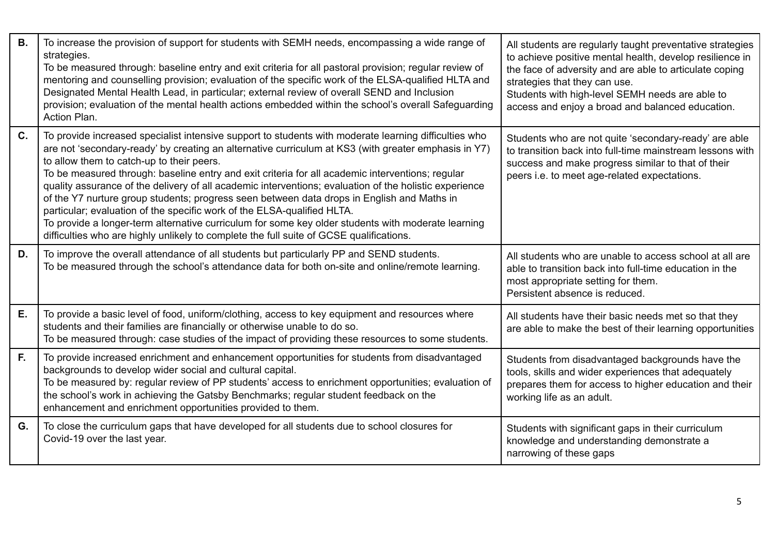| <b>B.</b> | To increase the provision of support for students with SEMH needs, encompassing a wide range of<br>strategies.<br>To be measured through: baseline entry and exit criteria for all pastoral provision; regular review of<br>mentoring and counselling provision; evaluation of the specific work of the ELSA-qualified HLTA and<br>Designated Mental Health Lead, in particular; external review of overall SEND and Inclusion<br>provision; evaluation of the mental health actions embedded within the school's overall Safeguarding<br>Action Plan.                                                                                                                                                                                                                                                                                             | All students are regularly taught preventative strategies<br>to achieve positive mental health, develop resilience in<br>the face of adversity and are able to articulate coping<br>strategies that they can use.<br>Students with high-level SEMH needs are able to<br>access and enjoy a broad and balanced education. |
|-----------|----------------------------------------------------------------------------------------------------------------------------------------------------------------------------------------------------------------------------------------------------------------------------------------------------------------------------------------------------------------------------------------------------------------------------------------------------------------------------------------------------------------------------------------------------------------------------------------------------------------------------------------------------------------------------------------------------------------------------------------------------------------------------------------------------------------------------------------------------|--------------------------------------------------------------------------------------------------------------------------------------------------------------------------------------------------------------------------------------------------------------------------------------------------------------------------|
| C.        | To provide increased specialist intensive support to students with moderate learning difficulties who<br>are not 'secondary-ready' by creating an alternative curriculum at KS3 (with greater emphasis in Y7)<br>to allow them to catch-up to their peers.<br>To be measured through: baseline entry and exit criteria for all academic interventions; regular<br>quality assurance of the delivery of all academic interventions; evaluation of the holistic experience<br>of the Y7 nurture group students; progress seen between data drops in English and Maths in<br>particular; evaluation of the specific work of the ELSA-qualified HLTA.<br>To provide a longer-term alternative curriculum for some key older students with moderate learning<br>difficulties who are highly unlikely to complete the full suite of GCSE qualifications. | Students who are not quite 'secondary-ready' are able<br>to transition back into full-time mainstream lessons with<br>success and make progress similar to that of their<br>peers i.e. to meet age-related expectations.                                                                                                 |
| D.        | To improve the overall attendance of all students but particularly PP and SEND students.<br>To be measured through the school's attendance data for both on-site and online/remote learning.                                                                                                                                                                                                                                                                                                                                                                                                                                                                                                                                                                                                                                                       | All students who are unable to access school at all are<br>able to transition back into full-time education in the<br>most appropriate setting for them.<br>Persistent absence is reduced.                                                                                                                               |
| Ε.        | To provide a basic level of food, uniform/clothing, access to key equipment and resources where<br>students and their families are financially or otherwise unable to do so.<br>To be measured through: case studies of the impact of providing these resources to some students.                                                                                                                                                                                                                                                                                                                                                                                                                                                                                                                                                                  | All students have their basic needs met so that they<br>are able to make the best of their learning opportunities                                                                                                                                                                                                        |
| F.        | To provide increased enrichment and enhancement opportunities for students from disadvantaged<br>backgrounds to develop wider social and cultural capital.<br>To be measured by: regular review of PP students' access to enrichment opportunities; evaluation of<br>the school's work in achieving the Gatsby Benchmarks; regular student feedback on the<br>enhancement and enrichment opportunities provided to them.                                                                                                                                                                                                                                                                                                                                                                                                                           | Students from disadvantaged backgrounds have the<br>tools, skills and wider experiences that adequately<br>prepares them for access to higher education and their<br>working life as an adult.                                                                                                                           |
| G.        | To close the curriculum gaps that have developed for all students due to school closures for<br>Covid-19 over the last year.                                                                                                                                                                                                                                                                                                                                                                                                                                                                                                                                                                                                                                                                                                                       | Students with significant gaps in their curriculum<br>knowledge and understanding demonstrate a<br>narrowing of these gaps                                                                                                                                                                                               |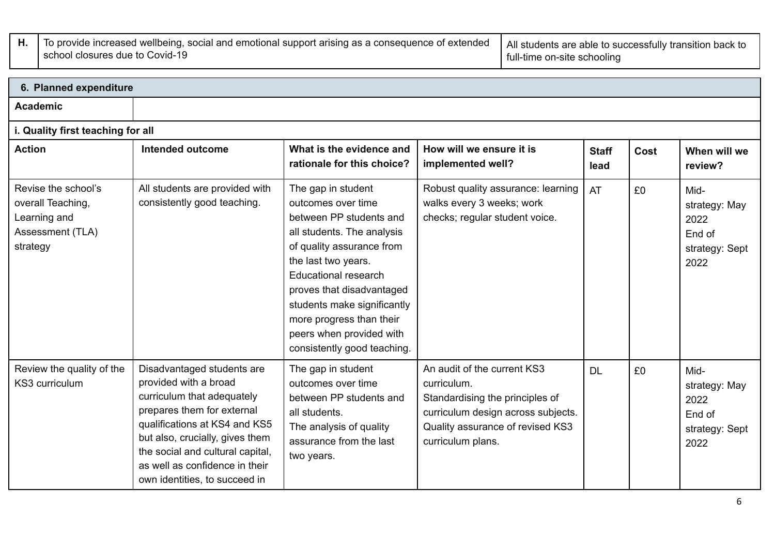**H.** To provide increased wellbeing, social and emotional support arising as a consequence of extended school closures due to Covid-19 All students are able to successfully transition back to full-time on-site schooling

| 6. Planned expenditure                                                                   |                                                                                                                                                                                                                                                                                            |                                                                                                                                                                                                                                                                                                                                         |                                                                                                                                                                              |                      |      |                                                                   |  |  |  |
|------------------------------------------------------------------------------------------|--------------------------------------------------------------------------------------------------------------------------------------------------------------------------------------------------------------------------------------------------------------------------------------------|-----------------------------------------------------------------------------------------------------------------------------------------------------------------------------------------------------------------------------------------------------------------------------------------------------------------------------------------|------------------------------------------------------------------------------------------------------------------------------------------------------------------------------|----------------------|------|-------------------------------------------------------------------|--|--|--|
| <b>Academic</b>                                                                          |                                                                                                                                                                                                                                                                                            |                                                                                                                                                                                                                                                                                                                                         |                                                                                                                                                                              |                      |      |                                                                   |  |  |  |
| i. Quality first teaching for all                                                        |                                                                                                                                                                                                                                                                                            |                                                                                                                                                                                                                                                                                                                                         |                                                                                                                                                                              |                      |      |                                                                   |  |  |  |
| <b>Action</b>                                                                            | Intended outcome                                                                                                                                                                                                                                                                           | What is the evidence and<br>rationale for this choice?                                                                                                                                                                                                                                                                                  | How will we ensure it is<br>implemented well?                                                                                                                                | <b>Staff</b><br>lead | Cost | When will we<br>review?                                           |  |  |  |
| Revise the school's<br>overall Teaching,<br>Learning and<br>Assessment (TLA)<br>strategy | All students are provided with<br>consistently good teaching.                                                                                                                                                                                                                              | The gap in student<br>outcomes over time<br>between PP students and<br>all students. The analysis<br>of quality assurance from<br>the last two years.<br><b>Educational research</b><br>proves that disadvantaged<br>students make significantly<br>more progress than their<br>peers when provided with<br>consistently good teaching. | Robust quality assurance: learning<br>walks every 3 weeks; work<br>checks; regular student voice.                                                                            | AT                   | £0   | Mid-<br>strategy: May<br>2022<br>End of<br>strategy: Sept<br>2022 |  |  |  |
| Review the quality of the<br>KS3 curriculum                                              | Disadvantaged students are<br>provided with a broad<br>curriculum that adequately<br>prepares them for external<br>qualifications at KS4 and KS5<br>but also, crucially, gives them<br>the social and cultural capital,<br>as well as confidence in their<br>own identities, to succeed in | The gap in student<br>outcomes over time<br>between PP students and<br>all students.<br>The analysis of quality<br>assurance from the last<br>two years.                                                                                                                                                                                | An audit of the current KS3<br>curriculum.<br>Standardising the principles of<br>curriculum design across subjects.<br>Quality assurance of revised KS3<br>curriculum plans. | <b>DL</b>            | £0   | Mid-<br>strategy: May<br>2022<br>End of<br>strategy: Sept<br>2022 |  |  |  |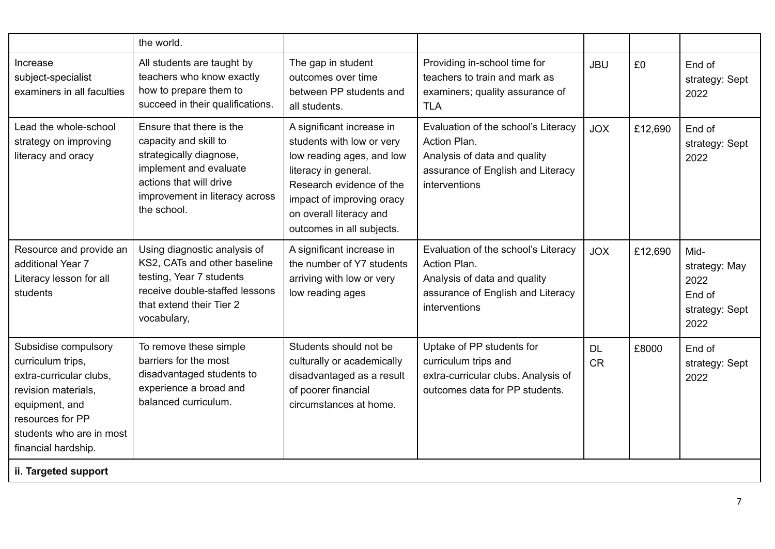|                                                                                                                                                                                      | the world.                                                                                                                                                                         |                                                                                                                                                                                                                              |                                                                                                                                           |                        |         |                                                                   |
|--------------------------------------------------------------------------------------------------------------------------------------------------------------------------------------|------------------------------------------------------------------------------------------------------------------------------------------------------------------------------------|------------------------------------------------------------------------------------------------------------------------------------------------------------------------------------------------------------------------------|-------------------------------------------------------------------------------------------------------------------------------------------|------------------------|---------|-------------------------------------------------------------------|
| Increase<br>subject-specialist<br>examiners in all faculties                                                                                                                         | All students are taught by<br>teachers who know exactly<br>how to prepare them to<br>succeed in their qualifications.                                                              | The gap in student<br>outcomes over time<br>between PP students and<br>all students.                                                                                                                                         | Providing in-school time for<br>teachers to train and mark as<br>examiners; quality assurance of<br><b>TLA</b>                            | <b>JBU</b>             | £0      | End of<br>strategy: Sept<br>2022                                  |
| Lead the whole-school<br>strategy on improving<br>literacy and oracy                                                                                                                 | Ensure that there is the<br>capacity and skill to<br>strategically diagnose,<br>implement and evaluate<br>actions that will drive<br>improvement in literacy across<br>the school. | A significant increase in<br>students with low or very<br>low reading ages, and low<br>literacy in general.<br>Research evidence of the<br>impact of improving oracy<br>on overall literacy and<br>outcomes in all subjects. | Evaluation of the school's Literacy<br>Action Plan.<br>Analysis of data and quality<br>assurance of English and Literacy<br>interventions | <b>JOX</b>             | £12,690 | End of<br>strategy: Sept<br>2022                                  |
| Resource and provide an<br>additional Year 7<br>Literacy lesson for all<br>students                                                                                                  | Using diagnostic analysis of<br>KS2, CATs and other baseline<br>testing, Year 7 students<br>receive double-staffed lessons<br>that extend their Tier 2<br>vocabulary,              | A significant increase in<br>the number of Y7 students<br>arriving with low or very<br>low reading ages                                                                                                                      | Evaluation of the school's Literacy<br>Action Plan.<br>Analysis of data and quality<br>assurance of English and Literacy<br>interventions | <b>JOX</b>             | £12,690 | Mid-<br>strategy: May<br>2022<br>End of<br>strategy: Sept<br>2022 |
| Subsidise compulsory<br>curriculum trips,<br>extra-curricular clubs,<br>revision materials,<br>equipment, and<br>resources for PP<br>students who are in most<br>financial hardship. | To remove these simple<br>barriers for the most<br>disadvantaged students to<br>experience a broad and<br>balanced curriculum.                                                     | Students should not be<br>culturally or academically<br>disadvantaged as a result<br>of poorer financial<br>circumstances at home.                                                                                           | Uptake of PP students for<br>curriculum trips and<br>extra-curricular clubs. Analysis of<br>outcomes data for PP students.                | <b>DL</b><br><b>CR</b> | £8000   | End of<br>strategy: Sept<br>2022                                  |
| ii. Targeted support                                                                                                                                                                 |                                                                                                                                                                                    |                                                                                                                                                                                                                              |                                                                                                                                           |                        |         |                                                                   |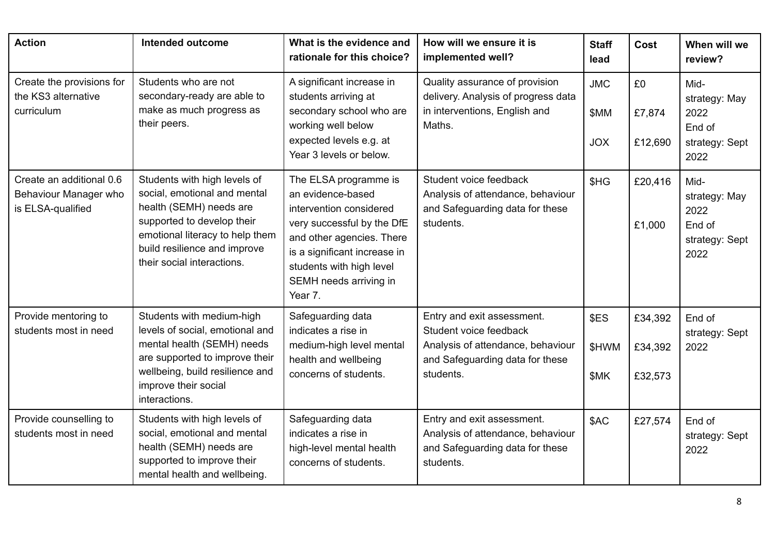| <b>Action</b>                                                          | <b>Intended outcome</b>                                                                                                                                                                                                | What is the evidence and<br>rationale for this choice?                                                                                                                                                                            | How will we ensure it is<br>implemented well?                                                                                             | <b>Staff</b><br>lead             | Cost                          | When will we<br>review?                                           |
|------------------------------------------------------------------------|------------------------------------------------------------------------------------------------------------------------------------------------------------------------------------------------------------------------|-----------------------------------------------------------------------------------------------------------------------------------------------------------------------------------------------------------------------------------|-------------------------------------------------------------------------------------------------------------------------------------------|----------------------------------|-------------------------------|-------------------------------------------------------------------|
| Create the provisions for<br>the KS3 alternative<br>curriculum         | Students who are not<br>secondary-ready are able to<br>make as much progress as<br>their peers.                                                                                                                        | A significant increase in<br>students arriving at<br>secondary school who are<br>working well below<br>expected levels e.g. at<br>Year 3 levels or below.                                                                         | Quality assurance of provision<br>delivery. Analysis of progress data<br>in interventions, English and<br>Maths.                          | <b>JMC</b><br>\$MM<br><b>JOX</b> | £0<br>£7,874<br>£12,690       | Mid-<br>strategy: May<br>2022<br>End of<br>strategy: Sept<br>2022 |
| Create an additional 0.6<br>Behaviour Manager who<br>is ELSA-qualified | Students with high levels of<br>social, emotional and mental<br>health (SEMH) needs are<br>supported to develop their<br>emotional literacy to help them<br>build resilience and improve<br>their social interactions. | The ELSA programme is<br>an evidence-based<br>intervention considered<br>very successful by the DfE<br>and other agencies. There<br>is a significant increase in<br>students with high level<br>SEMH needs arriving in<br>Year 7. | Student voice feedback<br>Analysis of attendance, behaviour<br>and Safeguarding data for these<br>students.                               | \$HG                             | £20,416<br>£1,000             | Mid-<br>strategy: May<br>2022<br>End of<br>strategy: Sept<br>2022 |
| Provide mentoring to<br>students most in need                          | Students with medium-high<br>levels of social, emotional and<br>mental health (SEMH) needs<br>are supported to improve their<br>wellbeing, build resilience and<br>improve their social<br>interactions.               | Safeguarding data<br>indicates a rise in<br>medium-high level mental<br>health and wellbeing<br>concerns of students.                                                                                                             | Entry and exit assessment.<br>Student voice feedback<br>Analysis of attendance, behaviour<br>and Safeguarding data for these<br>students. | \$ES<br>\$HWM<br>\$MK            | £34,392<br>£34,392<br>£32,573 | End of<br>strategy: Sept<br>2022                                  |
| Provide counselling to<br>students most in need                        | Students with high levels of<br>social, emotional and mental<br>health (SEMH) needs are<br>supported to improve their<br>mental health and wellbeing.                                                                  | Safeguarding data<br>indicates a rise in<br>high-level mental health<br>concerns of students.                                                                                                                                     | Entry and exit assessment.<br>Analysis of attendance, behaviour<br>and Safeguarding data for these<br>students.                           | \$AC                             | £27,574                       | End of<br>strategy: Sept<br>2022                                  |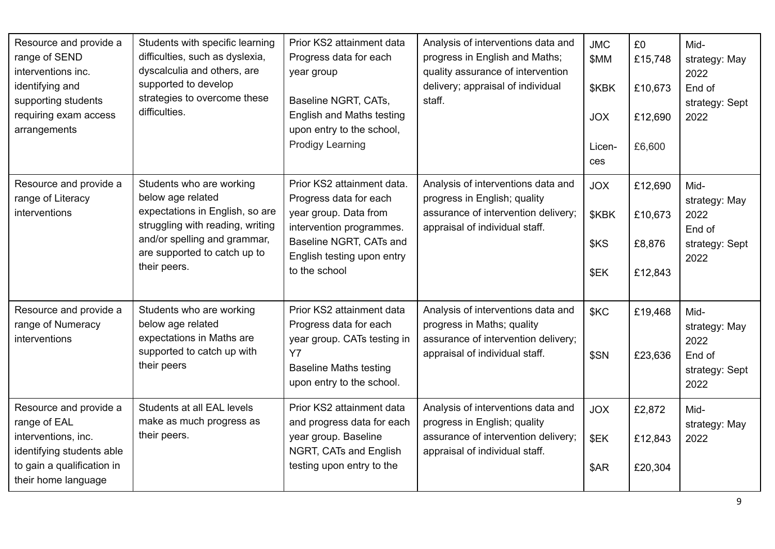| Resource and provide a<br>range of SEND<br>interventions inc.<br>identifying and<br>supporting students<br>requiring exam access<br>arrangements | Students with specific learning<br>difficulties, such as dyslexia,<br>dyscalculia and others, are<br>supported to develop<br>strategies to overcome these<br>difficulties.                           | Prior KS2 attainment data<br>Progress data for each<br>year group<br>Baseline NGRT, CATs,<br><b>English and Maths testing</b><br>upon entry to the school,<br><b>Prodigy Learning</b> | Analysis of interventions data and<br>progress in English and Maths;<br>quality assurance of intervention<br>delivery; appraisal of individual<br>staff. | <b>JMC</b><br>\$MM<br>\$KBK<br><b>JOX</b><br>Licen-<br>ces | £0<br>£15,748<br>£10,673<br>£12,690<br>£6,600 | Mid-<br>strategy: May<br>2022<br>End of<br>strategy: Sept<br>2022 |
|--------------------------------------------------------------------------------------------------------------------------------------------------|------------------------------------------------------------------------------------------------------------------------------------------------------------------------------------------------------|---------------------------------------------------------------------------------------------------------------------------------------------------------------------------------------|----------------------------------------------------------------------------------------------------------------------------------------------------------|------------------------------------------------------------|-----------------------------------------------|-------------------------------------------------------------------|
| Resource and provide a<br>range of Literacy<br>interventions                                                                                     | Students who are working<br>below age related<br>expectations in English, so are<br>struggling with reading, writing<br>and/or spelling and grammar,<br>are supported to catch up to<br>their peers. | Prior KS2 attainment data.<br>Progress data for each<br>year group. Data from<br>intervention programmes.<br>Baseline NGRT, CATs and<br>English testing upon entry<br>to the school   | Analysis of interventions data and<br>progress in English; quality<br>assurance of intervention delivery;<br>appraisal of individual staff.              | <b>JOX</b><br>\$KBK<br>\$KS<br>\$EK                        | £12,690<br>£10,673<br>£8,876<br>£12,843       | Mid-<br>strategy: May<br>2022<br>End of<br>strategy: Sept<br>2022 |
| Resource and provide a<br>range of Numeracy<br>interventions                                                                                     | Students who are working<br>below age related<br>expectations in Maths are<br>supported to catch up with<br>their peers                                                                              | Prior KS2 attainment data<br>Progress data for each<br>year group. CATs testing in<br><b>Y7</b><br><b>Baseline Maths testing</b><br>upon entry to the school.                         | Analysis of interventions data and<br>progress in Maths; quality<br>assurance of intervention delivery;<br>appraisal of individual staff.                | <b>SKC</b><br>\$SN                                         | £19,468<br>£23,636                            | Mid-<br>strategy: May<br>2022<br>End of<br>strategy: Sept<br>2022 |
| Resource and provide a<br>range of EAL<br>interventions, inc.<br>identifying students able<br>to gain a qualification in<br>their home language  | Students at all EAL levels<br>make as much progress as<br>their peers.                                                                                                                               | Prior KS2 attainment data<br>and progress data for each<br>year group. Baseline<br>NGRT, CATs and English<br>testing upon entry to the                                                | Analysis of interventions data and<br>progress in English; quality<br>assurance of intervention delivery;<br>appraisal of individual staff.              | <b>JOX</b><br>\$EK<br>\$AR                                 | £2,872<br>£12,843<br>£20,304                  | Mid-<br>strategy: May<br>2022                                     |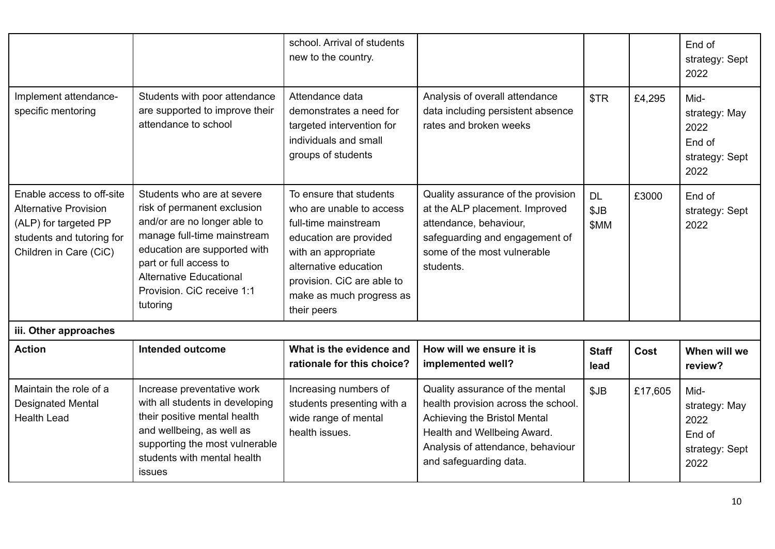|                                                                                                                                           |                                                                                                                                                                                                                                                                | school. Arrival of students<br>new to the country.                                                                                                                                                                             |                                                                                                                                                                                                      |                           |         | End of<br>strategy: Sept<br>2022                                  |
|-------------------------------------------------------------------------------------------------------------------------------------------|----------------------------------------------------------------------------------------------------------------------------------------------------------------------------------------------------------------------------------------------------------------|--------------------------------------------------------------------------------------------------------------------------------------------------------------------------------------------------------------------------------|------------------------------------------------------------------------------------------------------------------------------------------------------------------------------------------------------|---------------------------|---------|-------------------------------------------------------------------|
| Implement attendance-<br>specific mentoring                                                                                               | Students with poor attendance<br>are supported to improve their<br>attendance to school                                                                                                                                                                        | Attendance data<br>demonstrates a need for<br>targeted intervention for<br>individuals and small<br>groups of students                                                                                                         | Analysis of overall attendance<br>data including persistent absence<br>rates and broken weeks                                                                                                        | \$TR                      | £4,295  | Mid-<br>strategy: May<br>2022<br>End of<br>strategy: Sept<br>2022 |
| Enable access to off-site<br><b>Alternative Provision</b><br>(ALP) for targeted PP<br>students and tutoring for<br>Children in Care (CiC) | Students who are at severe<br>risk of permanent exclusion<br>and/or are no longer able to<br>manage full-time mainstream<br>education are supported with<br>part or full access to<br><b>Alternative Educational</b><br>Provision. CiC receive 1:1<br>tutoring | To ensure that students<br>who are unable to access<br>full-time mainstream<br>education are provided<br>with an appropriate<br>alternative education<br>provision. CiC are able to<br>make as much progress as<br>their peers | Quality assurance of the provision<br>at the ALP placement. Improved<br>attendance, behaviour,<br>safeguarding and engagement of<br>some of the most vulnerable<br>students.                         | <b>DL</b><br>\$JB<br>\$MM | £3000   | End of<br>strategy: Sept<br>2022                                  |
| iii. Other approaches                                                                                                                     |                                                                                                                                                                                                                                                                |                                                                                                                                                                                                                                |                                                                                                                                                                                                      |                           |         |                                                                   |
| <b>Action</b>                                                                                                                             | <b>Intended outcome</b>                                                                                                                                                                                                                                        | What is the evidence and<br>rationale for this choice?                                                                                                                                                                         | How will we ensure it is<br>implemented well?                                                                                                                                                        | <b>Staff</b><br>lead      | Cost    | When will we<br>review?                                           |
| Maintain the role of a<br><b>Designated Mental</b><br><b>Health Lead</b>                                                                  | Increase preventative work<br>with all students in developing<br>their positive mental health<br>and wellbeing, as well as<br>supporting the most vulnerable<br>students with mental health<br>issues                                                          | Increasing numbers of<br>students presenting with a<br>wide range of mental<br>health issues.                                                                                                                                  | Quality assurance of the mental<br>health provision across the school.<br>Achieving the Bristol Mental<br>Health and Wellbeing Award.<br>Analysis of attendance, behaviour<br>and safeguarding data. | \$JB                      | £17,605 | Mid-<br>strategy: May<br>2022<br>End of<br>strategy: Sept<br>2022 |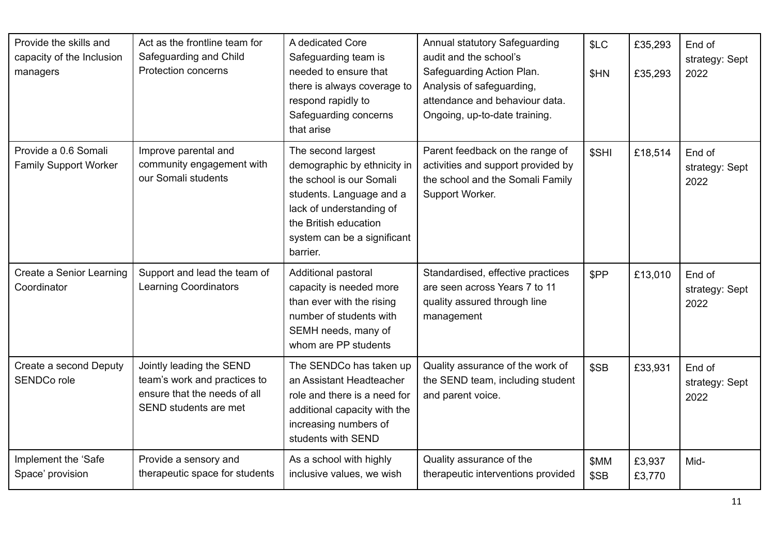| Provide the skills and<br>capacity of the Inclusion<br>managers | Act as the frontline team for<br>Safeguarding and Child<br><b>Protection concerns</b>                             | A dedicated Core<br>Safeguarding team is<br>needed to ensure that<br>there is always coverage to<br>respond rapidly to<br>Safeguarding concerns<br>that arise                                             | Annual statutory Safeguarding<br>audit and the school's<br>Safeguarding Action Plan.<br>Analysis of safeguarding,<br>attendance and behaviour data.<br>Ongoing, up-to-date training. | \$LC<br>\$HN | £35,293<br>£35,293 | End of<br>strategy: Sept<br>2022 |
|-----------------------------------------------------------------|-------------------------------------------------------------------------------------------------------------------|-----------------------------------------------------------------------------------------------------------------------------------------------------------------------------------------------------------|--------------------------------------------------------------------------------------------------------------------------------------------------------------------------------------|--------------|--------------------|----------------------------------|
| Provide a 0.6 Somali<br><b>Family Support Worker</b>            | Improve parental and<br>community engagement with<br>our Somali students                                          | The second largest<br>demographic by ethnicity in<br>the school is our Somali<br>students. Language and a<br>lack of understanding of<br>the British education<br>system can be a significant<br>barrier. | Parent feedback on the range of<br>activities and support provided by<br>the school and the Somali Family<br>Support Worker.                                                         | \$SHI        | £18,514            | End of<br>strategy: Sept<br>2022 |
| Create a Senior Learning<br>Coordinator                         | Support and lead the team of<br>Learning Coordinators                                                             | Additional pastoral<br>capacity is needed more<br>than ever with the rising<br>number of students with<br>SEMH needs, many of<br>whom are PP students                                                     | Standardised, effective practices<br>are seen across Years 7 to 11<br>quality assured through line<br>management                                                                     | \$PP         | £13,010            | End of<br>strategy: Sept<br>2022 |
| Create a second Deputy<br>SENDCo role                           | Jointly leading the SEND<br>team's work and practices to<br>ensure that the needs of all<br>SEND students are met | The SENDCo has taken up<br>an Assistant Headteacher<br>role and there is a need for<br>additional capacity with the<br>increasing numbers of<br>students with SEND                                        | Quality assurance of the work of<br>the SEND team, including student<br>and parent voice.                                                                                            | \$SB         | £33,931            | End of<br>strategy: Sept<br>2022 |
| Implement the 'Safe<br>Space' provision                         | Provide a sensory and<br>therapeutic space for students                                                           | As a school with highly<br>inclusive values, we wish                                                                                                                                                      | Quality assurance of the<br>therapeutic interventions provided                                                                                                                       | \$MM<br>\$SB | £3,937<br>£3,770   | Mid-                             |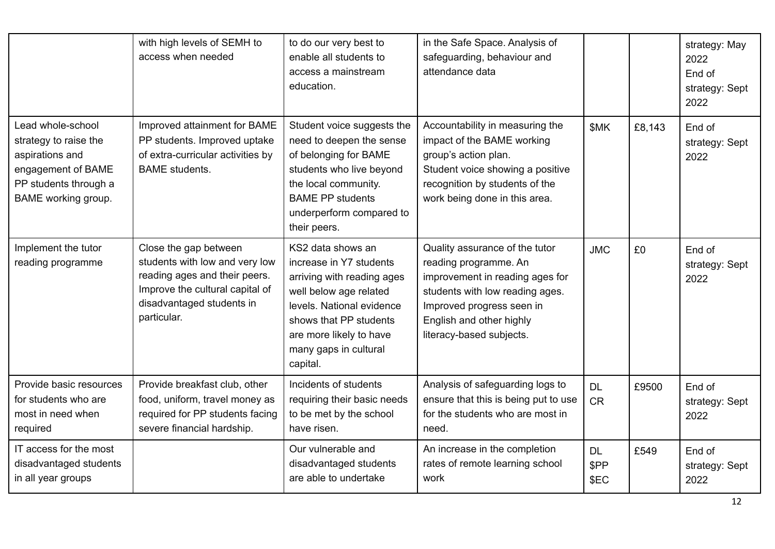|                                                                                                                                     | with high levels of SEMH to<br>access when needed                                                                                                                       | to do our very best to<br>enable all students to<br>access a mainstream<br>education.                                                                                                                                       | in the Safe Space. Analysis of<br>safeguarding, behaviour and<br>attendance data                                                                                                                                   |                           |        | strategy: May<br>2022<br>End of<br>strategy: Sept<br>2022 |
|-------------------------------------------------------------------------------------------------------------------------------------|-------------------------------------------------------------------------------------------------------------------------------------------------------------------------|-----------------------------------------------------------------------------------------------------------------------------------------------------------------------------------------------------------------------------|--------------------------------------------------------------------------------------------------------------------------------------------------------------------------------------------------------------------|---------------------------|--------|-----------------------------------------------------------|
| Lead whole-school<br>strategy to raise the<br>aspirations and<br>engagement of BAME<br>PP students through a<br>BAME working group. | Improved attainment for BAME<br>PP students. Improved uptake<br>of extra-curricular activities by<br><b>BAME</b> students.                                              | Student voice suggests the<br>need to deepen the sense<br>of belonging for BAME<br>students who live beyond<br>the local community.<br><b>BAME PP students</b><br>underperform compared to<br>their peers.                  | Accountability in measuring the<br>impact of the BAME working<br>group's action plan.<br>Student voice showing a positive<br>recognition by students of the<br>work being done in this area.                       | <b>SMK</b>                | £8,143 | End of<br>strategy: Sept<br>2022                          |
| Implement the tutor<br>reading programme                                                                                            | Close the gap between<br>students with low and very low<br>reading ages and their peers.<br>Improve the cultural capital of<br>disadvantaged students in<br>particular. | KS2 data shows an<br>increase in Y7 students<br>arriving with reading ages<br>well below age related<br>levels. National evidence<br>shows that PP students<br>are more likely to have<br>many gaps in cultural<br>capital. | Quality assurance of the tutor<br>reading programme. An<br>improvement in reading ages for<br>students with low reading ages.<br>Improved progress seen in<br>English and other highly<br>literacy-based subjects. | <b>JMC</b>                | £0     | End of<br>strategy: Sept<br>2022                          |
| Provide basic resources<br>for students who are<br>most in need when<br>required                                                    | Provide breakfast club, other<br>food, uniform, travel money as<br>required for PP students facing<br>severe financial hardship.                                        | Incidents of students<br>requiring their basic needs<br>to be met by the school<br>have risen.                                                                                                                              | Analysis of safeguarding logs to<br>ensure that this is being put to use<br>for the students who are most in<br>need.                                                                                              | <b>DL</b><br><b>CR</b>    | £9500  | End of<br>strategy: Sept<br>2022                          |
| IT access for the most<br>disadvantaged students<br>in all year groups                                                              |                                                                                                                                                                         | Our vulnerable and<br>disadvantaged students<br>are able to undertake                                                                                                                                                       | An increase in the completion<br>rates of remote learning school<br>work                                                                                                                                           | <b>DL</b><br>\$PP<br>\$EC | £549   | End of<br>strategy: Sept<br>2022                          |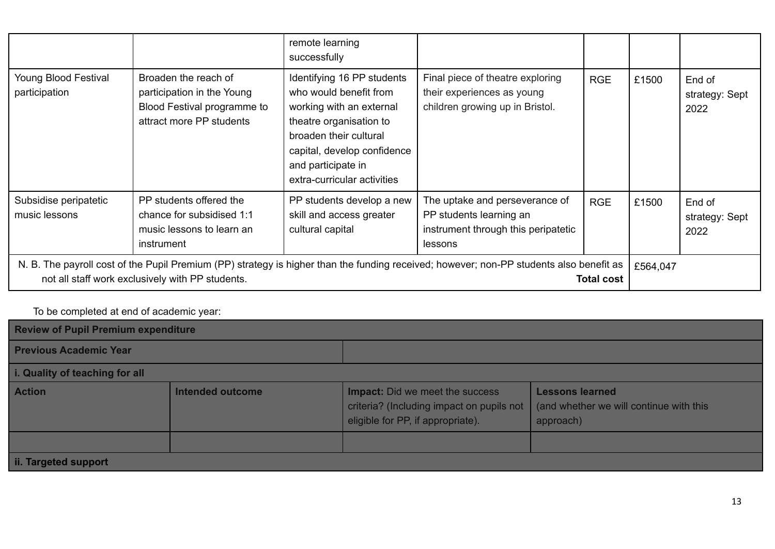|                                                                                                                                                                                                                  |                                                                                                               | remote learning<br>successfully                                                                                                                                                                                           |                                                                                                             |            |       |                                  |
|------------------------------------------------------------------------------------------------------------------------------------------------------------------------------------------------------------------|---------------------------------------------------------------------------------------------------------------|---------------------------------------------------------------------------------------------------------------------------------------------------------------------------------------------------------------------------|-------------------------------------------------------------------------------------------------------------|------------|-------|----------------------------------|
| Young Blood Festival<br>participation                                                                                                                                                                            | Broaden the reach of<br>participation in the Young<br>Blood Festival programme to<br>attract more PP students | Identifying 16 PP students<br>who would benefit from<br>working with an external<br>theatre organisation to<br>broaden their cultural<br>capital, develop confidence<br>and participate in<br>extra-curricular activities | Final piece of theatre exploring<br>their experiences as young<br>children growing up in Bristol.           | <b>RGE</b> | £1500 | End of<br>strategy: Sept<br>2022 |
| Subsidise peripatetic<br>music lessons                                                                                                                                                                           | PP students offered the<br>chance for subsidised 1:1<br>music lessons to learn an<br>instrument               | PP students develop a new<br>skill and access greater<br>cultural capital                                                                                                                                                 | The uptake and perseverance of<br>PP students learning an<br>instrument through this peripatetic<br>lessons | <b>RGE</b> | £1500 | End of<br>strategy: Sept<br>2022 |
| N. B. The payroll cost of the Pupil Premium (PP) strategy is higher than the funding received; however; non-PP students also benefit as<br>not all staff work exclusively with PP students.<br><b>Total cost</b> |                                                                                                               |                                                                                                                                                                                                                           |                                                                                                             | £564,047   |       |                                  |

### To be completed at end of academic year:

| <b>Review of Pupil Premium expenditure</b> |                  |                                                                                                                          |                                                                                |  |  |  |
|--------------------------------------------|------------------|--------------------------------------------------------------------------------------------------------------------------|--------------------------------------------------------------------------------|--|--|--|
| <b>Previous Academic Year</b>              |                  |                                                                                                                          |                                                                                |  |  |  |
| i. Quality of teaching for all             |                  |                                                                                                                          |                                                                                |  |  |  |
| <b>Action</b>                              | Intended outcome | <b>Impact:</b> Did we meet the success<br>criteria? (Including impact on pupils not<br>eligible for PP, if appropriate). | <b>Lessons learned</b><br>(and whether we will continue with this<br>approach) |  |  |  |
|                                            |                  |                                                                                                                          |                                                                                |  |  |  |
| ii. Targeted support                       |                  |                                                                                                                          |                                                                                |  |  |  |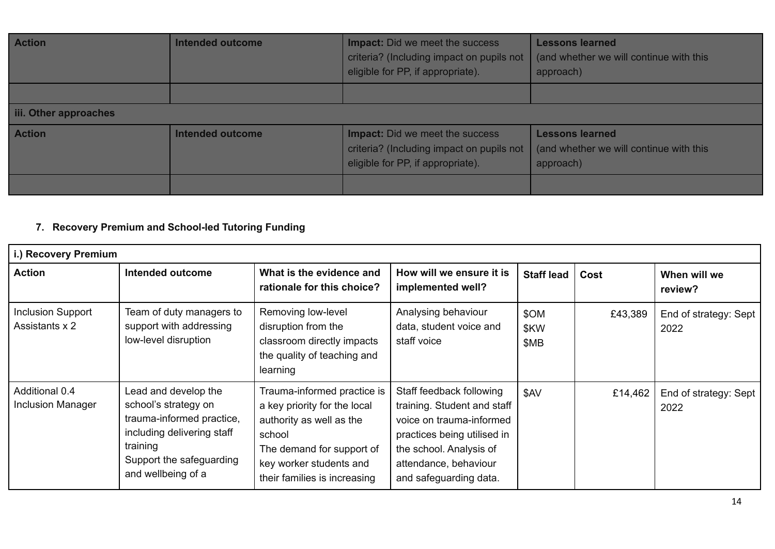| <b>Action</b>         | <b>Intended outcome</b> | <b>Impact:</b> Did we meet the success<br>criteria? (Including impact on pupils not<br>eligible for PP, if appropriate). | <b>Lessons learned</b><br>(and whether we will continue with this<br>approach) |
|-----------------------|-------------------------|--------------------------------------------------------------------------------------------------------------------------|--------------------------------------------------------------------------------|
|                       |                         |                                                                                                                          |                                                                                |
| iii. Other approaches |                         |                                                                                                                          |                                                                                |
| <b>Action</b>         | <b>Intended outcome</b> | <b>Impact:</b> Did we meet the success<br>criteria? (Including impact on pupils not<br>eligible for PP, if appropriate). | <b>Lessons learned</b><br>(and whether we will continue with this<br>approach) |
|                       |                         |                                                                                                                          |                                                                                |

### **7. Recovery Premium and School-led Tutoring Funding**

| i.) Recovery Premium                       |                                                                                                                                                                       |                                                                                                                                                                                           |                                                                                                                                                                                                  |                      |         |                               |
|--------------------------------------------|-----------------------------------------------------------------------------------------------------------------------------------------------------------------------|-------------------------------------------------------------------------------------------------------------------------------------------------------------------------------------------|--------------------------------------------------------------------------------------------------------------------------------------------------------------------------------------------------|----------------------|---------|-------------------------------|
| <b>Action</b>                              | <b>Intended outcome</b>                                                                                                                                               | What is the evidence and<br>rationale for this choice?                                                                                                                                    | How will we ensure it is<br>implemented well?                                                                                                                                                    | <b>Staff lead</b>    | Cost    | When will we<br>review?       |
| <b>Inclusion Support</b><br>Assistants x 2 | Team of duty managers to<br>support with addressing<br>low-level disruption                                                                                           | Removing low-level<br>disruption from the<br>classroom directly impacts<br>the quality of teaching and<br>learning                                                                        | Analysing behaviour<br>data, student voice and<br>staff voice                                                                                                                                    | \$OM<br>\$KW<br>\$MB | £43,389 | End of strategy: Sept<br>2022 |
| Additional 0.4<br><b>Inclusion Manager</b> | Lead and develop the<br>school's strategy on<br>trauma-informed practice,<br>including delivering staff<br>training<br>Support the safeguarding<br>and wellbeing of a | Trauma-informed practice is<br>a key priority for the local<br>authority as well as the<br>school<br>The demand for support of<br>key worker students and<br>their families is increasing | Staff feedback following<br>training. Student and staff<br>voice on trauma-informed<br>practices being utilised in<br>the school. Analysis of<br>attendance, behaviour<br>and safeguarding data. | \$AV                 | £14,462 | End of strategy: Sept<br>2022 |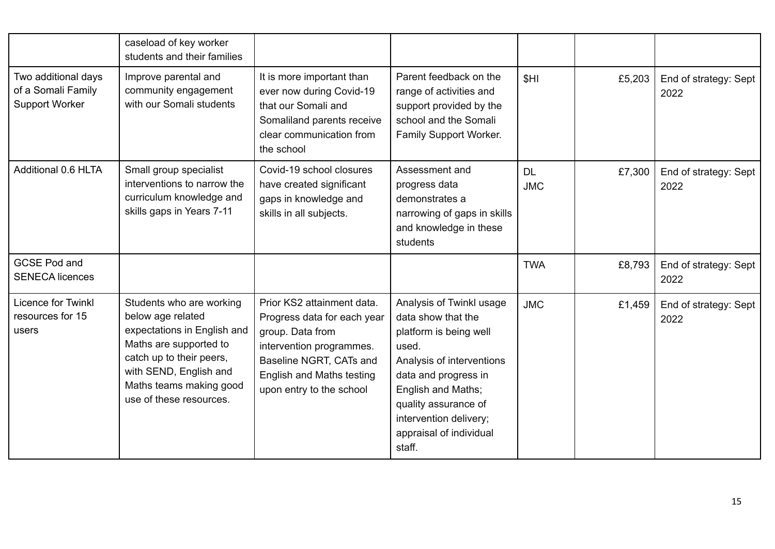|                                                                    | caseload of key worker<br>students and their families                                                                                                                                                              |                                                                                                                                                                                                      |                                                                                                                                                                                                                                                     |                         |        |                               |
|--------------------------------------------------------------------|--------------------------------------------------------------------------------------------------------------------------------------------------------------------------------------------------------------------|------------------------------------------------------------------------------------------------------------------------------------------------------------------------------------------------------|-----------------------------------------------------------------------------------------------------------------------------------------------------------------------------------------------------------------------------------------------------|-------------------------|--------|-------------------------------|
| Two additional days<br>of a Somali Family<br><b>Support Worker</b> | Improve parental and<br>community engagement<br>with our Somali students                                                                                                                                           | It is more important than<br>ever now during Covid-19<br>that our Somali and<br>Somaliland parents receive<br>clear communication from<br>the school                                                 | Parent feedback on the<br>range of activities and<br>support provided by the<br>school and the Somali<br>Family Support Worker.                                                                                                                     | <b>SHI</b>              | £5,203 | End of strategy: Sept<br>2022 |
| Additional 0.6 HLTA                                                | Small group specialist<br>interventions to narrow the<br>curriculum knowledge and<br>skills gaps in Years 7-11                                                                                                     | Covid-19 school closures<br>have created significant<br>gaps in knowledge and<br>skills in all subjects.                                                                                             | Assessment and<br>progress data<br>demonstrates a<br>narrowing of gaps in skills<br>and knowledge in these<br>students                                                                                                                              | <b>DL</b><br><b>JMC</b> | £7,300 | End of strategy: Sept<br>2022 |
| <b>GCSE Pod and</b><br><b>SENECA licences</b>                      |                                                                                                                                                                                                                    |                                                                                                                                                                                                      |                                                                                                                                                                                                                                                     | <b>TWA</b>              | £8,793 | End of strategy: Sept<br>2022 |
| Licence for Twinkl<br>resources for 15<br>users                    | Students who are working<br>below age related<br>expectations in English and<br>Maths are supported to<br>catch up to their peers,<br>with SEND, English and<br>Maths teams making good<br>use of these resources. | Prior KS2 attainment data.<br>Progress data for each year<br>group. Data from<br>intervention programmes.<br>Baseline NGRT, CATs and<br><b>English and Maths testing</b><br>upon entry to the school | Analysis of Twinkl usage<br>data show that the<br>platform is being well<br>used.<br>Analysis of interventions<br>data and progress in<br>English and Maths;<br>quality assurance of<br>intervention delivery;<br>appraisal of individual<br>staff. | <b>JMC</b>              | £1,459 | End of strategy: Sept<br>2022 |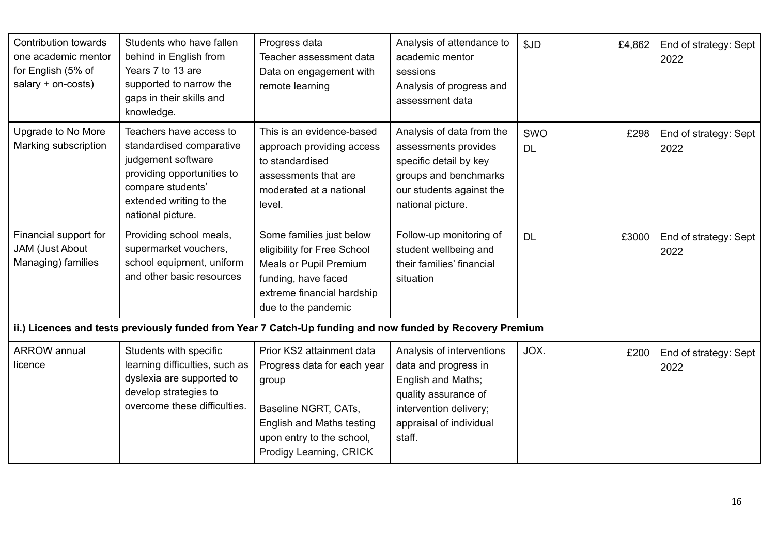| <b>Contribution towards</b><br>one academic mentor<br>for English (5% of<br>salary + on-costs) | Students who have fallen<br>behind in English from<br>Years 7 to 13 are<br>supported to narrow the<br>gaps in their skills and<br>knowledge.                                 | Progress data<br>Teacher assessment data<br>Data on engagement with<br>remote learning                                                                                                | Analysis of attendance to<br>academic mentor<br>sessions<br>Analysis of progress and<br>assessment data                                                        | \$JD             | £4,862 | End of strategy: Sept<br>2022 |
|------------------------------------------------------------------------------------------------|------------------------------------------------------------------------------------------------------------------------------------------------------------------------------|---------------------------------------------------------------------------------------------------------------------------------------------------------------------------------------|----------------------------------------------------------------------------------------------------------------------------------------------------------------|------------------|--------|-------------------------------|
| Upgrade to No More<br>Marking subscription                                                     | Teachers have access to<br>standardised comparative<br>judgement software<br>providing opportunities to<br>compare students'<br>extended writing to the<br>national picture. | This is an evidence-based<br>approach providing access<br>to standardised<br>assessments that are<br>moderated at a national<br>level.                                                | Analysis of data from the<br>assessments provides<br>specific detail by key<br>groups and benchmarks<br>our students against the<br>national picture.          | SWO<br><b>DL</b> | £298   | End of strategy: Sept<br>2022 |
| Financial support for<br>JAM (Just About<br>Managing) families                                 | Providing school meals,<br>supermarket vouchers,<br>school equipment, uniform<br>and other basic resources                                                                   | Some families just below<br>eligibility for Free School<br><b>Meals or Pupil Premium</b><br>funding, have faced<br>extreme financial hardship<br>due to the pandemic                  | Follow-up monitoring of<br>student wellbeing and<br>their families' financial<br>situation                                                                     | <b>DL</b>        | £3000  | End of strategy: Sept<br>2022 |
|                                                                                                |                                                                                                                                                                              | ii.) Licences and tests previously funded from Year 7 Catch-Up funding and now funded by Recovery Premium                                                                             |                                                                                                                                                                |                  |        |                               |
| <b>ARROW</b> annual<br>licence                                                                 | Students with specific<br>learning difficulties, such as<br>dyslexia are supported to<br>develop strategies to<br>overcome these difficulties.                               | Prior KS2 attainment data<br>Progress data for each year<br>group<br>Baseline NGRT, CATs,<br><b>English and Maths testing</b><br>upon entry to the school,<br>Prodigy Learning, CRICK | Analysis of interventions<br>data and progress in<br>English and Maths;<br>quality assurance of<br>intervention delivery;<br>appraisal of individual<br>staff. | JOX.             | £200   | End of strategy: Sept<br>2022 |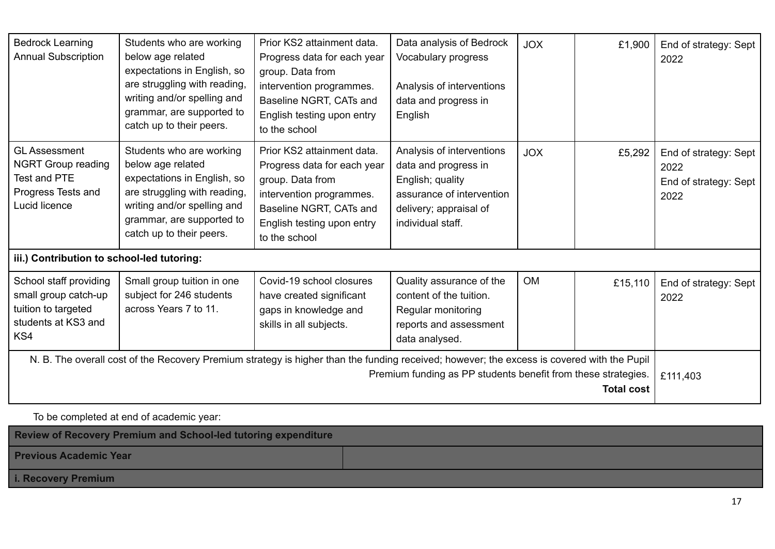| <b>Bedrock Learning</b><br><b>Annual Subscription</b>                                                                                                                                                                            | Students who are working<br>below age related<br>expectations in English, so<br>are struggling with reading,<br>writing and/or spelling and<br>grammar, are supported to<br>catch up to their peers. | Prior KS2 attainment data.<br>Progress data for each year<br>group. Data from<br>intervention programmes.<br>Baseline NGRT, CATs and<br>English testing upon entry<br>to the school | Data analysis of Bedrock<br>Vocabulary progress<br>Analysis of interventions<br>data and progress in<br>English                                   | <b>JOX</b> | £1,900   | End of strategy: Sept<br>2022                                  |
|----------------------------------------------------------------------------------------------------------------------------------------------------------------------------------------------------------------------------------|------------------------------------------------------------------------------------------------------------------------------------------------------------------------------------------------------|-------------------------------------------------------------------------------------------------------------------------------------------------------------------------------------|---------------------------------------------------------------------------------------------------------------------------------------------------|------------|----------|----------------------------------------------------------------|
| <b>GL Assessment</b><br><b>NGRT Group reading</b><br>Test and PTE<br>Progress Tests and<br>Lucid licence                                                                                                                         | Students who are working<br>below age related<br>expectations in English, so<br>are struggling with reading,<br>writing and/or spelling and<br>grammar, are supported to<br>catch up to their peers. | Prior KS2 attainment data.<br>Progress data for each year<br>group. Data from<br>intervention programmes.<br>Baseline NGRT, CATs and<br>English testing upon entry<br>to the school | Analysis of interventions<br>data and progress in<br>English; quality<br>assurance of intervention<br>delivery; appraisal of<br>individual staff. | <b>JOX</b> | £5,292   | End of strategy: Sept<br>2022<br>End of strategy: Sept<br>2022 |
| iii.) Contribution to school-led tutoring:                                                                                                                                                                                       |                                                                                                                                                                                                      |                                                                                                                                                                                     |                                                                                                                                                   |            |          |                                                                |
| School staff providing<br>small group catch-up<br>tuition to targeted<br>students at KS3 and<br>KS4                                                                                                                              | Small group tuition in one<br>subject for 246 students<br>across Years 7 to 11.                                                                                                                      | Covid-19 school closures<br>have created significant<br>gaps in knowledge and<br>skills in all subjects.                                                                            | Quality assurance of the<br>content of the tuition.<br>Regular monitoring<br>reports and assessment<br>data analysed.                             | <b>OM</b>  | £15,110  | End of strategy: Sept<br>2022                                  |
| N. B. The overall cost of the Recovery Premium strategy is higher than the funding received; however; the excess is covered with the Pupil<br>Premium funding as PP students benefit from these strategies.<br><b>Total cost</b> |                                                                                                                                                                                                      |                                                                                                                                                                                     |                                                                                                                                                   |            | £111,403 |                                                                |

## To be completed at end of academic year:

| <b>Review of Recovery Premium and School-led tutoring expenditure</b> |  |  |  |  |
|-----------------------------------------------------------------------|--|--|--|--|
| <b>Previous Academic Year</b>                                         |  |  |  |  |
| <b>i. Recovery Premium</b>                                            |  |  |  |  |